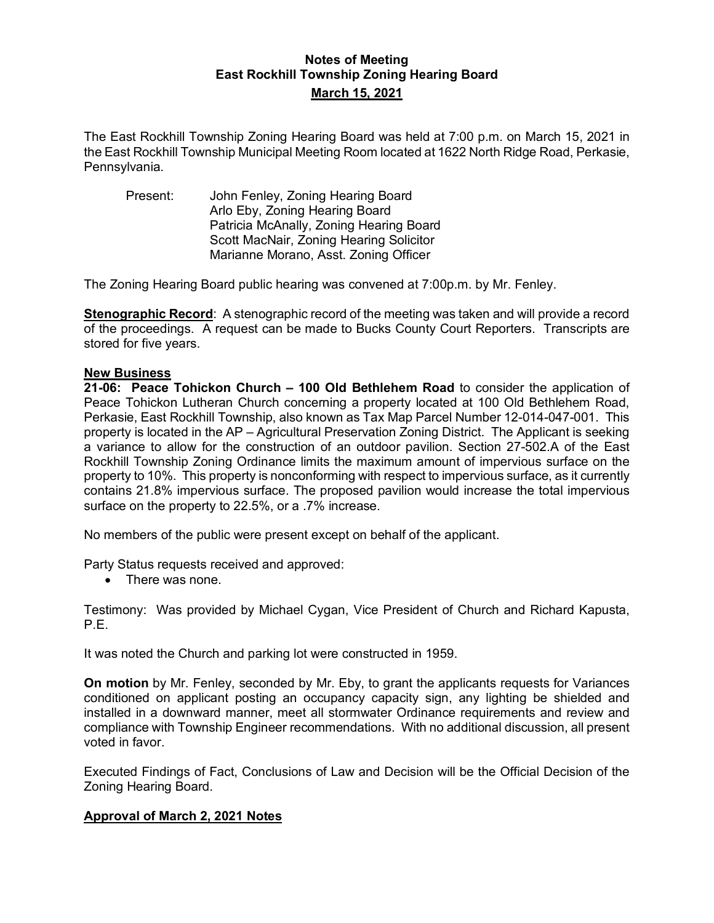## **Notes of Meeting East Rockhill Township Zoning Hearing Board March 15, 2021**

The East Rockhill Township Zoning Hearing Board was held at 7:00 p.m. on March 15, 2021 in the East Rockhill Township Municipal Meeting Room located at 1622 North Ridge Road, Perkasie, Pennsylvania.

Present: John Fenley, Zoning Hearing Board Arlo Eby, Zoning Hearing Board Patricia McAnally, Zoning Hearing Board Scott MacNair, Zoning Hearing Solicitor Marianne Morano, Asst. Zoning Officer

The Zoning Hearing Board public hearing was convened at 7:00p.m. by Mr. Fenley.

**Stenographic Record**: A stenographic record of the meeting was taken and will provide a record of the proceedings. A request can be made to Bucks County Court Reporters. Transcripts are stored for five years.

## **New Business**

**21-06: Peace Tohickon Church – 100 Old Bethlehem Road** to consider the application of Peace Tohickon Lutheran Church concerning a property located at 100 Old Bethlehem Road, Perkasie, East Rockhill Township, also known as Tax Map Parcel Number 12-014-047-001. This property is located in the AP – Agricultural Preservation Zoning District. The Applicant is seeking a variance to allow for the construction of an outdoor pavilion. Section 27-502.A of the East Rockhill Township Zoning Ordinance limits the maximum amount of impervious surface on the property to 10%. This property is nonconforming with respect to impervious surface, as it currently contains 21.8% impervious surface. The proposed pavilion would increase the total impervious surface on the property to 22.5%, or a .7% increase.

No members of the public were present except on behalf of the applicant.

Party Status requests received and approved:

• There was none.

Testimony: Was provided by Michael Cygan, Vice President of Church and Richard Kapusta, P.E.

It was noted the Church and parking lot were constructed in 1959.

**On motion** by Mr. Fenley, seconded by Mr. Eby, to grant the applicants requests for Variances conditioned on applicant posting an occupancy capacity sign, any lighting be shielded and installed in a downward manner, meet all stormwater Ordinance requirements and review and compliance with Township Engineer recommendations. With no additional discussion, all present voted in favor.

Executed Findings of Fact, Conclusions of Law and Decision will be the Official Decision of the Zoning Hearing Board.

## **Approval of March 2, 2021 Notes**